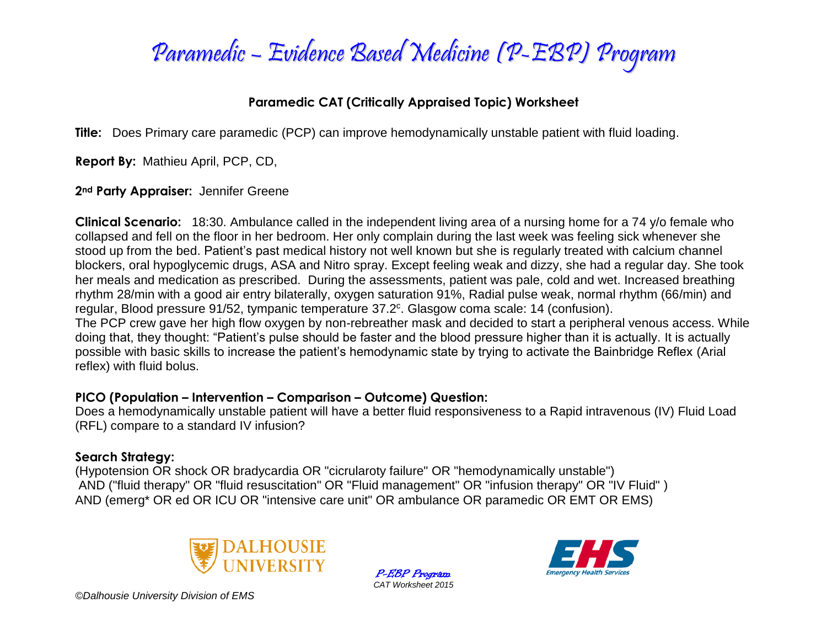

## **Paramedic CAT (Critically Appraised Topic) Worksheet**

**Title:** Does Primary care paramedic (PCP) can improve hemodynamically unstable patient with fluid loading.

**Report By:** Mathieu April, PCP, CD,

**2nd Party Appraiser:** Jennifer Greene

**Clinical Scenario:** 18:30. Ambulance called in the independent living area of a nursing home for a 74 y/o female who collapsed and fell on the floor in her bedroom. Her only complain during the last week was feeling sick whenever she stood up from the bed. Patient's past medical history not well known but she is regularly treated with calcium channel blockers, oral hypoglycemic drugs, ASA and Nitro spray. Except feeling weak and dizzy, she had a regular day. She took her meals and medication as prescribed. During the assessments, patient was pale, cold and wet. Increased breathing rhythm 28/min with a good air entry bilaterally, oxygen saturation 91%, Radial pulse weak, normal rhythm (66/min) and regular, Blood pressure 91/52, tympanic temperature 37.2<sup>c</sup>. Glasgow coma scale: 14 (confusion).

The PCP crew gave her high flow oxygen by non-rebreather mask and decided to start a peripheral venous access. While doing that, they thought: "Patient's pulse should be faster and the blood pressure higher than it is actually. It is actually possible with basic skills to increase the patient's hemodynamic state by trying to activate the Bainbridge Reflex (Arial reflex) with fluid bolus.

## **PICO (Population – Intervention – Comparison – Outcome) Question:**

Does a hemodynamically unstable patient will have a better fluid responsiveness to a Rapid intravenous (IV) Fluid Load (RFL) compare to a standard IV infusion?

## **Search Strategy:**

(Hypotension OR shock OR bradycardia OR "cicrularoty failure" OR "hemodynamically unstable") AND ("fluid therapy" OR "fluid resuscitation" OR "Fluid management" OR "infusion therapy" OR "IV Fluid" ) AND (emerg\* OR ed OR ICU OR "intensive care unit" OR ambulance OR paramedic OR EMT OR EMS)



P-EBP Program *CAT Worksheet 2015*

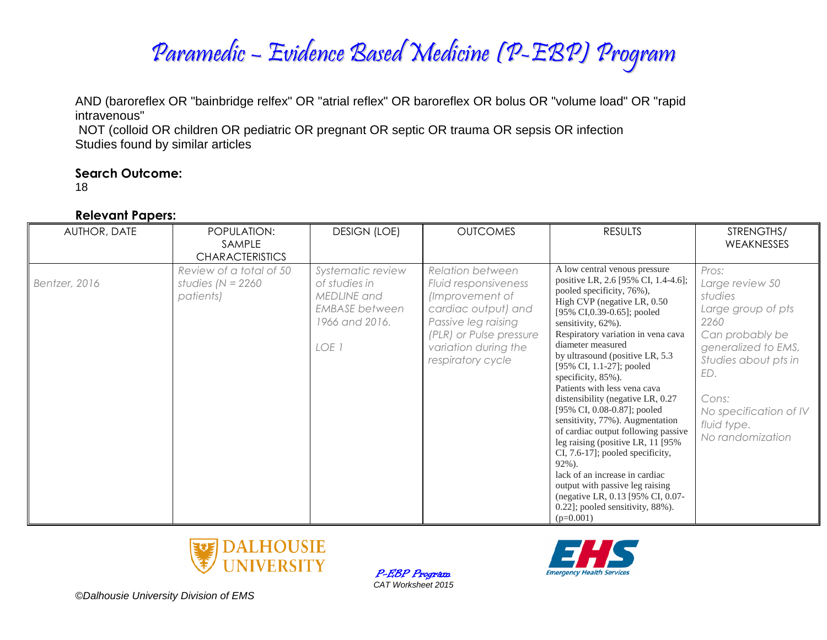

AND (baroreflex OR "bainbridge relfex" OR "atrial reflex" OR baroreflex OR bolus OR "volume load" OR "rapid intravenous"

NOT (colloid OR children OR pediatric OR pregnant OR septic OR trauma OR sepsis OR infection Studies found by similar articles

#### **Search Outcome:**

18

#### **Relevant Papers:**

| AUTHOR, DATE  | POPULATION:<br>SAMPLE<br><b>CHARACTERISTICS</b>              | <b>DESIGN (LOE)</b>                                                                                   | <b>OUTCOMES</b>                                                                                                                                                                          | <b>RESULTS</b>                                                                                                                                                                                                                                                                                                                                                                                                                                                                                                                                                                                                                                                                                                                                                            | STRENGTHS/<br><b>WEAKNESSES</b>                                                                                                                                                                                  |
|---------------|--------------------------------------------------------------|-------------------------------------------------------------------------------------------------------|------------------------------------------------------------------------------------------------------------------------------------------------------------------------------------------|---------------------------------------------------------------------------------------------------------------------------------------------------------------------------------------------------------------------------------------------------------------------------------------------------------------------------------------------------------------------------------------------------------------------------------------------------------------------------------------------------------------------------------------------------------------------------------------------------------------------------------------------------------------------------------------------------------------------------------------------------------------------------|------------------------------------------------------------------------------------------------------------------------------------------------------------------------------------------------------------------|
| Bentzer, 2016 | Review of a total of 50<br>studies ( $N = 2260$<br>patients) | Systematic review<br>of studies in<br>MEDLINE and<br><b>EMBASE</b> between<br>1966 and 2016.<br>LOE 1 | <b>Relation between</b><br>Fluid responsiveness<br>(Improvement of<br>cardiac output) and<br>Passive leg raising<br>(PLR) or Pulse pressure<br>variation during the<br>respiratory cycle | A low central venous pressure<br>positive LR, 2.6 [95% CI, 1.4-4.6];<br>pooled specificity, 76%),<br>High CVP (negative LR, 0.50)<br>[95% CI, 0.39-0.65]; pooled<br>sensitivity, 62%).<br>Respiratory variation in vena cava<br>diameter measured<br>by ultrasound (positive LR, 5.3)<br>[95% CI, 1.1-27]; pooled<br>specificity, 85%).<br>Patients with less vena cava<br>distensibility (negative LR, 0.27<br>[95% CI, 0.08-0.87]; pooled<br>sensitivity, 77%). Augmentation<br>of cardiac output following passive<br>leg raising (positive LR, 11 [95%]<br>CI, 7.6-17]; pooled specificity,<br>$92\%$ ).<br>lack of an increase in cardiac<br>output with passive leg raising<br>(negative LR, 0.13 [95% CI, 0.07-<br>0.22]; pooled sensitivity, 88%).<br>$(p=0.001)$ | Pros:<br>Large review 50<br>studies<br>Large group of pts<br>2260<br>Can probably be<br>generalized to EMS,<br>Studies about pts in<br>ED.<br>Cons:<br>No specification of IV<br>fluid type.<br>No randomization |



P-EBP Program *CAT Worksheet 2015*

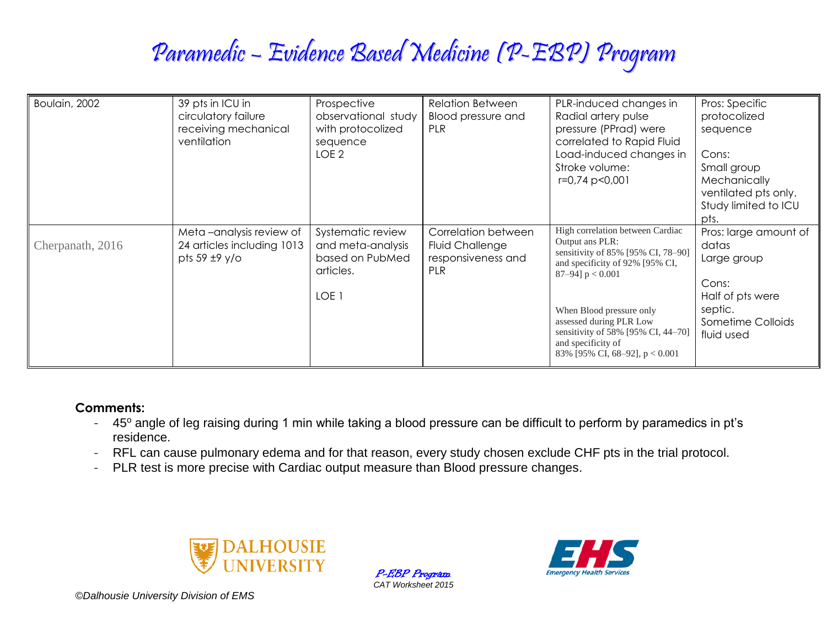# Paramedic – Evidence Based Medicine (P-EBP) Program

| Boulain, 2002    | 39 pts in ICU in<br>circulatory failure<br>receiving mechanical<br>ventilation   | Prospective<br>observational study<br>with protocolized<br>sequence<br>LOE <sub>2</sub> | <b>Relation Between</b><br>Blood pressure and<br>PLR                       | PLR-induced changes in<br>Radial artery pulse<br>pressure (PPrad) were<br>correlated to Rapid Fluid<br>Load-induced changes in<br>Stroke volume:<br>r=0,74 p<0,001                                                                                                                                        | Pros: Specific<br>protocolized<br>sequence<br>Cons:<br>Small group<br>Mechanically<br>ventilated pts only.<br>Study limited to ICU<br>pts. |
|------------------|----------------------------------------------------------------------------------|-----------------------------------------------------------------------------------------|----------------------------------------------------------------------------|-----------------------------------------------------------------------------------------------------------------------------------------------------------------------------------------------------------------------------------------------------------------------------------------------------------|--------------------------------------------------------------------------------------------------------------------------------------------|
| Cherpanath, 2016 | Meta-analysis review of<br>24 articles including 1013<br>pts $59 \pm 9 \sqrt{0}$ | Systematic review<br>and meta-analysis<br>based on PubMed<br>articles.<br>LOE 1         | Correlation between<br><b>Fluid Challenge</b><br>responsiveness and<br>PLR | High correlation between Cardiac<br>Output ans PLR:<br>sensitivity of 85% [95% CI, 78-90]<br>and specificity of 92% [95% CI,<br>87-94] $p < 0.001$<br>When Blood pressure only<br>assessed during PLR Low<br>sensitivity of 58% [95% CI, 44-70]<br>and specificity of<br>83% [95% CI, 68–92], $p < 0.001$ | Pros: large amount of<br>datas<br>Large group<br>Cons:<br>Half of pts were<br>septic.<br>Sometime Colloids<br>fluid used                   |

#### **Comments:**

- 45° angle of leg raising during 1 min while taking a blood pressure can be difficult to perform by paramedics in pt's residence.
- RFL can cause pulmonary edema and for that reason, every study chosen exclude CHF pts in the trial protocol.
- PLR test is more precise with Cardiac output measure than Blood pressure changes.



P-EBP Program *CAT Worksheet 2015*